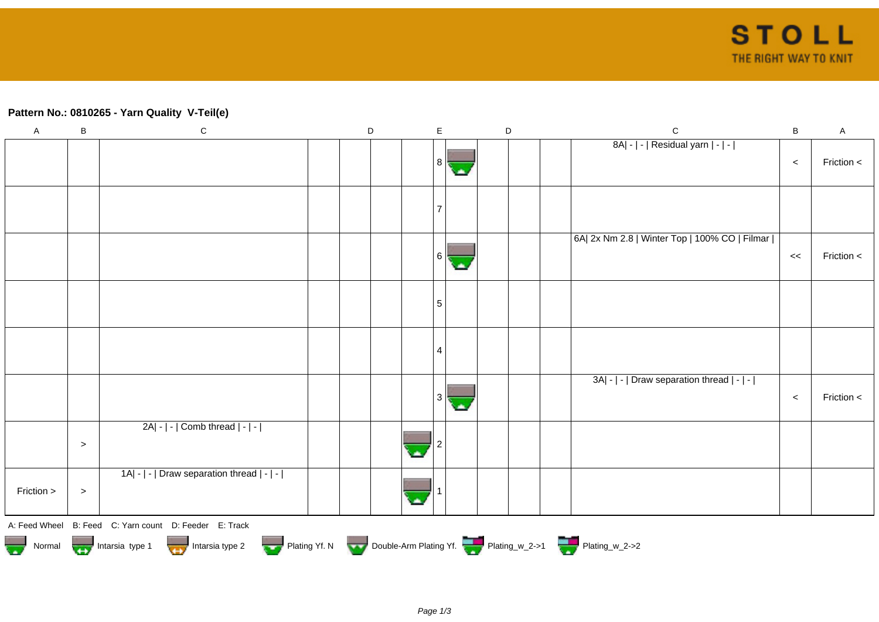## **Pattern No.: 0810265 - Yarn Quality V-Teil(e)**

| $\mathsf A$ | $\sf B$   | ${\bf C}$                                                                        | $\mathsf D$ | $\mathsf E$ |  | $\mathsf D$ | $\mathsf C$                                   | $\sf B$ | $\mathsf A$ |
|-------------|-----------|----------------------------------------------------------------------------------|-------------|-------------|--|-------------|-----------------------------------------------|---------|-------------|
|             |           |                                                                                  |             | 8           |  |             | 8A  -   -   Residual yarn   -   -             | $\prec$ | Friction <  |
|             |           |                                                                                  |             |             |  |             |                                               |         |             |
|             |           |                                                                                  |             | 6           |  |             | 6A  2x Nm 2.8   Winter Top   100% CO   Filmar | <<      | Friction <  |
|             |           |                                                                                  |             | 5           |  |             |                                               |         |             |
|             |           |                                                                                  |             | 4           |  |             |                                               |         |             |
|             |           |                                                                                  |             | 3           |  |             | 3A  -   -   Draw separation thread   -   -    | $\,<$   | Friction <  |
|             | $\, > \,$ | $2A - - $ Comb thread $ - - $                                                    |             |             |  |             |                                               |         |             |
| Friction >  | $\, >$    | 1A  -   -   Draw separation thread   -   -                                       |             |             |  |             |                                               |         |             |
|             |           | A: Feed Wheel B: Feed C: Yarn count D: Feeder E: Track                           |             |             |  |             |                                               |         |             |
|             |           | Normal Montain Strategy Intarsia type 2 but Plating Yf. N Double-Arm Plating Yf. |             |             |  |             |                                               |         |             |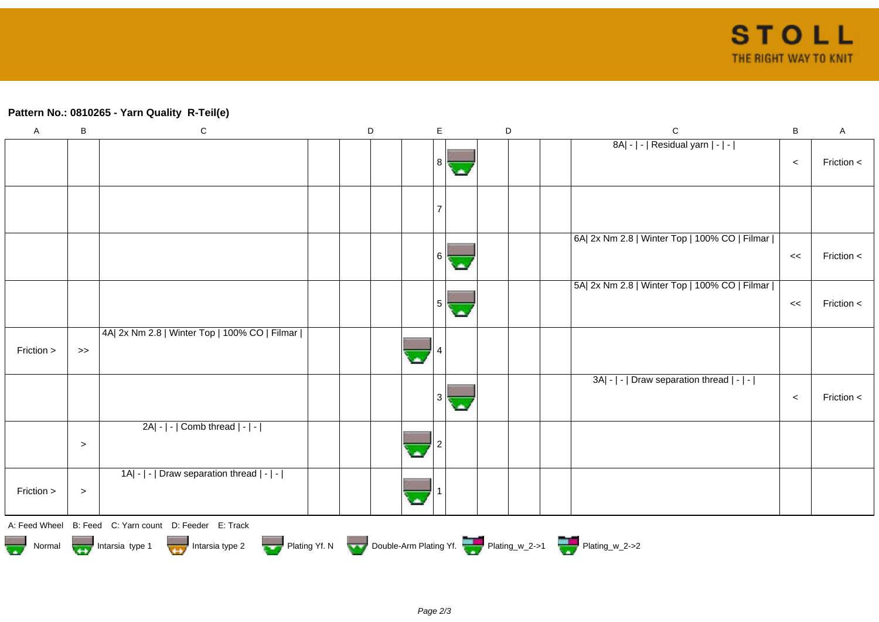## **Pattern No.: 0810265 - Yarn Quality R-Teil(e)**

| $\mathsf A$ | B         | ${\bf C}$                                                                                                                                                                                                                            | $\mathsf D$ | E  | D |  | $\mathsf{C}$                                  | $\, {\bf B}$ | $\mathsf{A}$ |
|-------------|-----------|--------------------------------------------------------------------------------------------------------------------------------------------------------------------------------------------------------------------------------------|-------------|----|---|--|-----------------------------------------------|--------------|--------------|
|             |           |                                                                                                                                                                                                                                      |             | 81 |   |  | 8A  -   -   Residual yarn   -   -             | $\,<$        | Friction <   |
|             |           |                                                                                                                                                                                                                                      |             |    |   |  |                                               |              |              |
|             |           |                                                                                                                                                                                                                                      |             | 61 |   |  | 6A  2x Nm 2.8   Winter Top   100% CO   Filmar | <<           | Friction <   |
|             |           |                                                                                                                                                                                                                                      |             | 5  |   |  | 5A  2x Nm 2.8   Winter Top   100% CO   Filmar | $\,<$        | Friction <   |
| Friction >  | $>>$      | 4A  2x Nm 2.8   Winter Top   100% CO   Filmar                                                                                                                                                                                        |             |    |   |  |                                               |              |              |
|             |           |                                                                                                                                                                                                                                      |             | 3  |   |  | 3A  -   -   Draw separation thread   -   -    | $\,<$        | Friction $<$ |
|             | $\,>$     | $2A - - $ Comb thread $ - - $                                                                                                                                                                                                        |             |    |   |  |                                               |              |              |
| Friction >  | $\, > \,$ | 1A  -   -   Draw separation thread   -   -                                                                                                                                                                                           |             |    |   |  |                                               |              |              |
|             |           | A: Feed Wheel B: Feed C: Yarn count D: Feeder E: Track                                                                                                                                                                               |             |    |   |  |                                               |              |              |
|             |           | Normal <b>Department of the School School School School School School School School School School School School School School School School School School School School School School School School School School School School </b> |             |    |   |  |                                               |              |              |